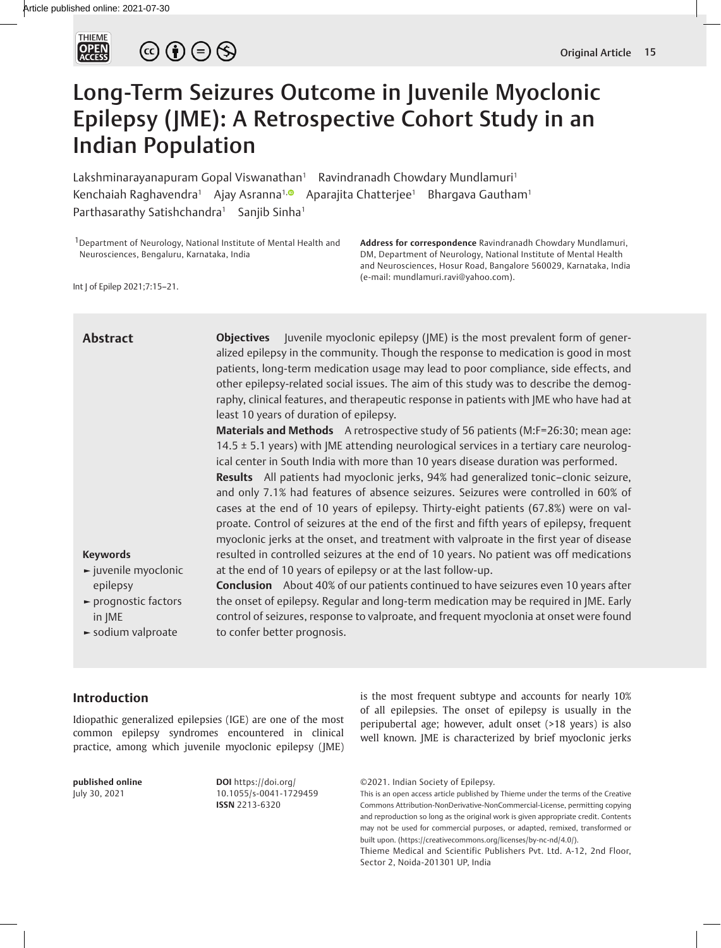

# $\circledcirc \bullet \circledcirc \circledcirc$

## Long-Term Seizures Outcome in Juvenile Myoclonic Epilepsy (JME): A Retrospective Cohort Study in an Indian Population

Lakshminarayanapuram Gopal Viswanathan<sup>1</sup> Ravindranadh Chowdary Mundlamuri<sup>1</sup> Kenchaiah Raghavendra<sup>1</sup> Ajay Asranna<sup>1, **And Aparajita Chatterjee<sup>1</sup> Bhargava Gautham**<sup>1</sup></sup> Parthasarathy Satishchandra<sup>1</sup> Sanjib Sinha<sup>1</sup>

<sup>1</sup> Department of Neurology, National Institute of Mental Health and Neurosciences, Bengaluru, Karnataka, India

**Address for correspondence** Ravindranadh Chowdary Mundlamuri, DM, Department of Neurology, National Institute of Mental Health and Neurosciences, Hosur Road, Bangalore 560029, Karnataka, India (e-mail: mundlamuri.ravi@yahoo.com).

Int J of Epilep 2021;7:15–21.

| <b>Abstract</b><br><b>Keywords</b><br>$\blacktriangleright$ juvenile myoclonic<br>epilepsy<br>► prognostic factors<br>in JME<br>sodium valproate | <b>Objectives</b> Juvenile myoclonic epilepsy (JME) is the most prevalent form of gener-<br>alized epilepsy in the community. Though the response to medication is good in most<br>patients, long-term medication usage may lead to poor compliance, side effects, and<br>other epilepsy-related social issues. The aim of this study was to describe the demog-<br>raphy, clinical features, and therapeutic response in patients with JME who have had at<br>least 10 years of duration of epilepsy.<br>Materials and Methods A retrospective study of 56 patients (M:F=26:30; mean age:<br>14.5 $\pm$ 5.1 years) with JME attending neurological services in a tertiary care neurolog-<br>ical center in South India with more than 10 years disease duration was performed.<br>Results All patients had myoclonic jerks, 94% had generalized tonic-clonic seizure,<br>and only 7.1% had features of absence seizures. Seizures were controlled in 60% of<br>cases at the end of 10 years of epilepsy. Thirty-eight patients (67.8%) were on val-<br>proate. Control of seizures at the end of the first and fifth years of epilepsy, frequent<br>myoclonic jerks at the onset, and treatment with valproate in the first year of disease<br>resulted in controlled seizures at the end of 10 years. No patient was off medications<br>at the end of 10 years of epilepsy or at the last follow-up.<br><b>Conclusion</b> About 40% of our patients continued to have seizures even 10 years after<br>the onset of epilepsy. Regular and long-term medication may be required in JME. Early<br>control of seizures, response to valproate, and frequent myoclonia at onset were found<br>to confer better prognosis. |
|--------------------------------------------------------------------------------------------------------------------------------------------------|------------------------------------------------------------------------------------------------------------------------------------------------------------------------------------------------------------------------------------------------------------------------------------------------------------------------------------------------------------------------------------------------------------------------------------------------------------------------------------------------------------------------------------------------------------------------------------------------------------------------------------------------------------------------------------------------------------------------------------------------------------------------------------------------------------------------------------------------------------------------------------------------------------------------------------------------------------------------------------------------------------------------------------------------------------------------------------------------------------------------------------------------------------------------------------------------------------------------------------------------------------------------------------------------------------------------------------------------------------------------------------------------------------------------------------------------------------------------------------------------------------------------------------------------------------------------------------------------------------------------------------------------------------------------------------------------------------------------|
|                                                                                                                                                  |                                                                                                                                                                                                                                                                                                                                                                                                                                                                                                                                                                                                                                                                                                                                                                                                                                                                                                                                                                                                                                                                                                                                                                                                                                                                                                                                                                                                                                                                                                                                                                                                                                                                                                                        |

#### **Introduction**

Idiopathic generalized epilepsies (IGE) are one of the most common epilepsy syndromes encountered in clinical practice, among which juvenile myoclonic epilepsy (JME)

**published online** July 30, 2021

**DOI** https://doi.org/ 10.1055/s-0041-1729459 **ISSN** 2213-6320

is the most frequent subtype and accounts for nearly 10% of all epilepsies. The onset of epilepsy is usually in the peripubertal age; however, adult onset (>18 years) is also well known. JME is characterized by brief myoclonic jerks

This is an open access article published by Thieme under the terms of the Creative Commons Attribution-NonDerivative-NonCommercial-License, permitting copying and reproduction so long as the original work is given appropriate credit. Contents may not be used for commercial purposes, or adapted, remixed, transformed or built upon. (https://creativecommons.org/licenses/by-nc-nd/4.0/).

Thieme Medical and Scientific Publishers Pvt. Ltd. A-12, 2nd Floor, Sector 2, Noida-201301 UP, India

<sup>©2021.</sup> Indian Society of Epilepsy.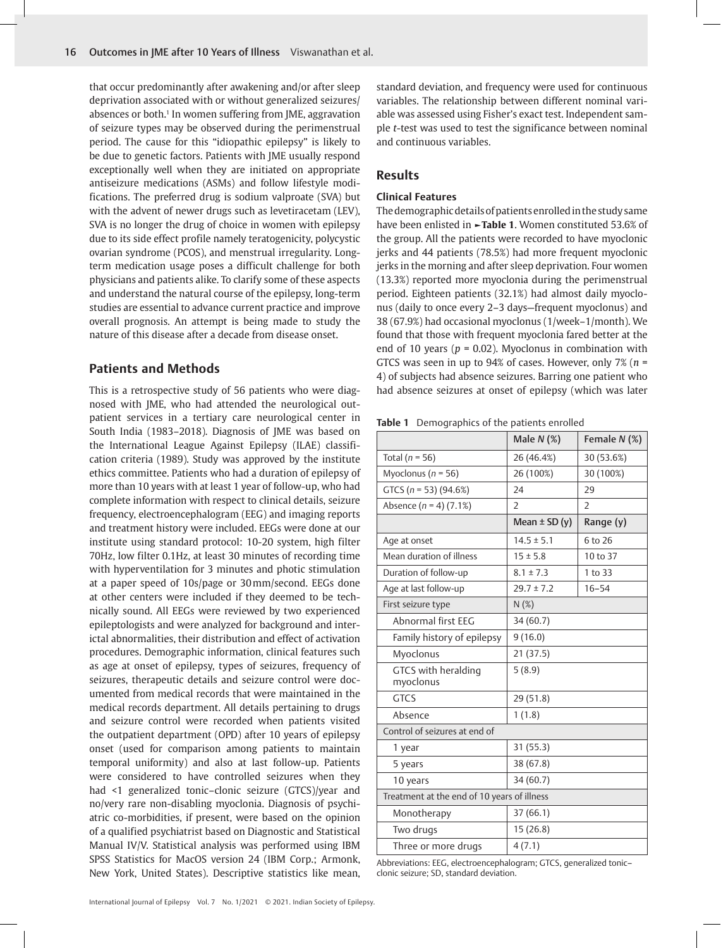that occur predominantly after awakening and/or after sleep deprivation associated with or without generalized seizures/ absences or both.<sup>1</sup> In women suffering from JME, aggravation of seizure types may be observed during the perimenstrual period. The cause for this "idiopathic epilepsy" is likely to be due to genetic factors. Patients with JME usually respond exceptionally well when they are initiated on appropriate antiseizure medications (ASMs) and follow lifestyle modifications. The preferred drug is sodium valproate (SVA) but with the advent of newer drugs such as levetiracetam (LEV), SVA is no longer the drug of choice in women with epilepsy due to its side effect profile namely teratogenicity, polycystic ovarian syndrome (PCOS), and menstrual irregularity. Longterm medication usage poses a difficult challenge for both physicians and patients alike. To clarify some of these aspects and understand the natural course of the epilepsy, long-term studies are essential to advance current practice and improve overall prognosis. An attempt is being made to study the nature of this disease after a decade from disease onset.

#### **Patients and Methods**

This is a retrospective study of 56 patients who were diagnosed with JME, who had attended the neurological outpatient services in a tertiary care neurological center in South India (1983–2018). Diagnosis of JME was based on the International League Against Epilepsy (ILAE) classification criteria (1989). Study was approved by the institute ethics committee. Patients who had a duration of epilepsy of more than 10 years with at least 1 year of follow-up, who had complete information with respect to clinical details, seizure frequency, electroencephalogram (EEG) and imaging reports and treatment history were included. EEGs were done at our institute using standard protocol: 10-20 system, high filter 70Hz, low filter 0.1Hz, at least 30 minutes of recording time with hyperventilation for 3 minutes and photic stimulation at a paper speed of 10s/page or 30mm/second. EEGs done at other centers were included if they deemed to be technically sound. All EEGs were reviewed by two experienced epileptologists and were analyzed for background and interictal abnormalities, their distribution and effect of activation procedures. Demographic information, clinical features such as age at onset of epilepsy, types of seizures, frequency of seizures, therapeutic details and seizure control were documented from medical records that were maintained in the medical records department. All details pertaining to drugs and seizure control were recorded when patients visited the outpatient department (OPD) after 10 years of epilepsy onset (used for comparison among patients to maintain temporal uniformity) and also at last follow-up. Patients were considered to have controlled seizures when they had <1 generalized tonic–clonic seizure (GTCS)/year and no/very rare non-disabling myoclonia. Diagnosis of psychiatric co-morbidities, if present, were based on the opinion of a qualified psychiatrist based on Diagnostic and Statistical Manual IV/V. Statistical analysis was performed using IBM SPSS Statistics for MacOS version 24 (IBM Corp.; Armonk, New York, United States). Descriptive statistics like mean,

standard deviation, and frequency were used for continuous variables. The relationship between different nominal variable was assessed using Fisher's exact test. Independent sample *t*-test was used to test the significance between nominal and continuous variables.

#### **Results**

#### **Clinical Features**

The demographic details of patients enrolled in the study same have been enlisted in **►Table 1**. Women constituted 53.6% of the group. All the patients were recorded to have myoclonic jerks and 44 patients (78.5%) had more frequent myoclonic jerks in the morning and after sleep deprivation. Four women (13.3%) reported more myoclonia during the perimenstrual period. Eighteen patients (32.1%) had almost daily myoclonus (daily to once every 2–3 days—frequent myoclonus) and 38 (67.9%) had occasional myoclonus (1/week–1/month). We found that those with frequent myoclonia fared better at the end of 10 years (*p* = 0.02). Myoclonus in combination with GTCS was seen in up to 94% of cases. However, only 7% (*n* = 4) of subjects had absence seizures. Barring one patient who had absence seizures at onset of epilepsy (which was later

**Table 1** Demographics of the patients enrolled

|                                             | Male $N$ $(\%)$        | Female N (%) |  |  |
|---------------------------------------------|------------------------|--------------|--|--|
| Total ( $n = 56$ )                          | 26 (46.4%)             | 30 (53.6%)   |  |  |
| Myoclonus ( $n = 56$ )                      | 30 (100%)<br>26 (100%) |              |  |  |
| GTCS ( $n = 53$ ) (94.6%)                   | 29<br>24               |              |  |  |
| Absence $(n = 4)$ (7.1%)                    | $\overline{2}$         | 2            |  |  |
|                                             | Mean $\pm$ SD (y)      | Range (y)    |  |  |
| Age at onset                                | $14.5 \pm 5.1$         | 6 to 26      |  |  |
| Mean duration of illness                    | $15 \pm 5.8$           | 10 to 37     |  |  |
| Duration of follow-up                       | $8.1 \pm 7.3$          | 1 to 33      |  |  |
| Age at last follow-up                       | $29.7 \pm 7.2$         | $16 - 54$    |  |  |
| First seizure type                          | N(%)                   |              |  |  |
| Abnormal first EEG                          | 34(60.7)               |              |  |  |
| Family history of epilepsy                  | 9(16.0)                |              |  |  |
| Myoclonus                                   | 21 (37.5)              |              |  |  |
| GTCS with heralding<br>myoclonus            | 5(8.9)                 |              |  |  |
| <b>GTCS</b>                                 | 29 (51.8)              |              |  |  |
| Absence                                     | 1(1.8)                 |              |  |  |
| Control of seizures at end of               |                        |              |  |  |
| 1 year                                      | 31(55.3)               |              |  |  |
| 5 years                                     | 38 (67.8)              |              |  |  |
| 10 years                                    | 34 (60.7)              |              |  |  |
| Treatment at the end of 10 years of illness |                        |              |  |  |
| Monotherapy                                 | 37(66.1)               |              |  |  |
| Two drugs                                   | 15(26.8)               |              |  |  |
| Three or more drugs                         | 4(7.1)                 |              |  |  |

Abbreviations: EEG, electroencephalogram; GTCS, generalized tonic– clonic seizure; SD, standard deviation.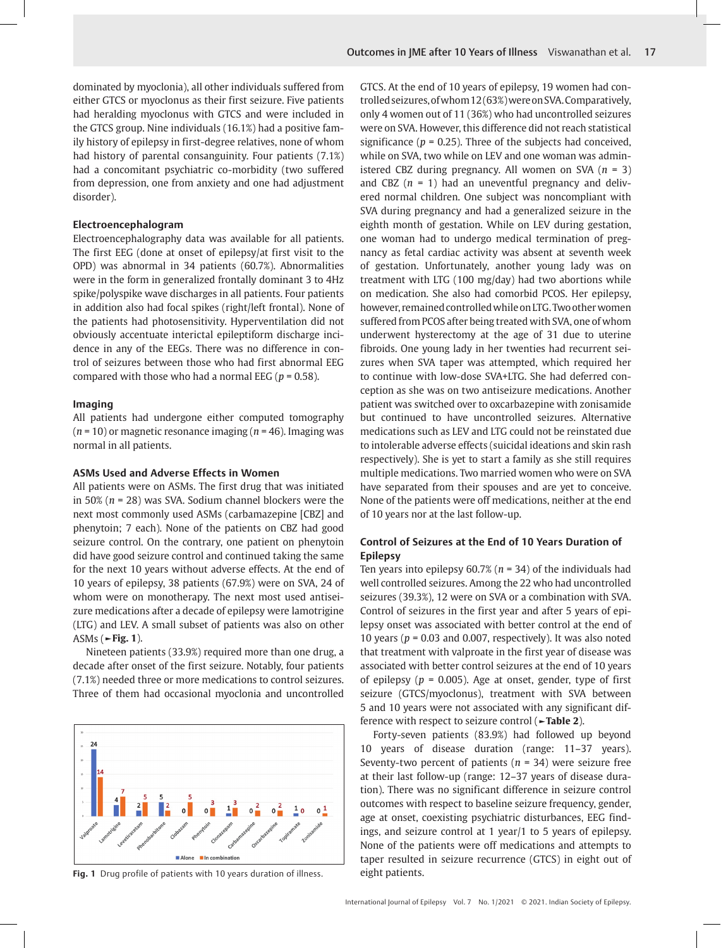dominated by myoclonia), all other individuals suffered from either GTCS or myoclonus as their first seizure. Five patients had heralding myoclonus with GTCS and were included in the GTCS group. Nine individuals (16.1%) had a positive family history of epilepsy in first-degree relatives, none of whom had history of parental consanguinity. Four patients (7.1%) had a concomitant psychiatric co-morbidity (two suffered from depression, one from anxiety and one had adjustment disorder).

#### **Electroencephalogram**

Electroencephalography data was available for all patients. The first EEG (done at onset of epilepsy/at first visit to the OPD) was abnormal in 34 patients (60.7%). Abnormalities were in the form in generalized frontally dominant 3 to 4Hz spike/polyspike wave discharges in all patients. Four patients in addition also had focal spikes (right/left frontal). None of the patients had photosensitivity. Hyperventilation did not obviously accentuate interictal epileptiform discharge incidence in any of the EEGs. There was no difference in control of seizures between those who had first abnormal EEG compared with those who had a normal EEG ( $p = 0.58$ ).

#### **Imaging**

All patients had undergone either computed tomography (*n* = 10) or magnetic resonance imaging (*n* = 46). Imaging was normal in all patients.

#### **ASMs Used and Adverse Effects in Women**

All patients were on ASMs. The first drug that was initiated in 50% (*n* = 28) was SVA. Sodium channel blockers were the next most commonly used ASMs (carbamazepine [CBZ] and phenytoin; 7 each). None of the patients on CBZ had good seizure control. On the contrary, one patient on phenytoin did have good seizure control and continued taking the same for the next 10 years without adverse effects. At the end of 10 years of epilepsy, 38 patients (67.9%) were on SVA, 24 of whom were on monotherapy. The next most used antiseizure medications after a decade of epilepsy were lamotrigine (LTG) and LEV. A small subset of patients was also on other ASMs (**►Fig. 1**).

Nineteen patients (33.9%) required more than one drug, a decade after onset of the first seizure. Notably, four patients (7.1%) needed three or more medications to control seizures. Three of them had occasional myoclonia and uncontrolled



Fig. 1 Drug profile of patients with 10 years duration of illness. eight patients.

GTCS. At the end of 10 years of epilepsy, 19 women had controlled seizures, of whom 12 (63%) were on SVA. Comparatively, only 4 women out of 11 (36%) who had uncontrolled seizures were on SVA. However, this difference did not reach statistical significance ( $p = 0.25$ ). Three of the subjects had conceived, while on SVA, two while on LEV and one woman was administered CBZ during pregnancy. All women on SVA (*n* = 3) and CBZ (*n* = 1) had an uneventful pregnancy and delivered normal children. One subject was noncompliant with SVA during pregnancy and had a generalized seizure in the eighth month of gestation. While on LEV during gestation, one woman had to undergo medical termination of pregnancy as fetal cardiac activity was absent at seventh week of gestation. Unfortunately, another young lady was on treatment with LTG (100 mg/day) had two abortions while on medication. She also had comorbid PCOS. Her epilepsy, however, remained controlled while on LTG. Two other women suffered from PCOS after being treated with SVA, one of whom underwent hysterectomy at the age of 31 due to uterine fibroids. One young lady in her twenties had recurrent seizures when SVA taper was attempted, which required her to continue with low-dose SVA+LTG. She had deferred conception as she was on two antiseizure medications. Another patient was switched over to oxcarbazepine with zonisamide but continued to have uncontrolled seizures. Alternative medications such as LEV and LTG could not be reinstated due to intolerable adverse effects (suicidal ideations and skin rash respectively). She is yet to start a family as she still requires multiple medications. Two married women who were on SVA have separated from their spouses and are yet to conceive. None of the patients were off medications, neither at the end of 10 years nor at the last follow-up.

#### **Control of Seizures at the End of 10 Years Duration of Epilepsy**

Ten years into epilepsy 60.7% (*n* = 34) of the individuals had well controlled seizures. Among the 22 who had uncontrolled seizures (39.3%), 12 were on SVA or a combination with SVA. Control of seizures in the first year and after 5 years of epilepsy onset was associated with better control at the end of 10 years ( $p = 0.03$  and 0.007, respectively). It was also noted that treatment with valproate in the first year of disease was associated with better control seizures at the end of 10 years of epilepsy ( $p = 0.005$ ). Age at onset, gender, type of first seizure (GTCS/myoclonus), treatment with SVA between 5 and 10 years were not associated with any significant difference with respect to seizure control (**►Table 2**).

Forty-seven patients (83.9%) had followed up beyond 10 years of disease duration (range: 11–37 years). Seventy-two percent of patients (*n* = 34) were seizure free at their last follow-up (range: 12–37 years of disease duration). There was no significant difference in seizure control outcomes with respect to baseline seizure frequency, gender, age at onset, coexisting psychiatric disturbances, EEG findings, and seizure control at 1 year/1 to 5 years of epilepsy. None of the patients were off medications and attempts to taper resulted in seizure recurrence (GTCS) in eight out of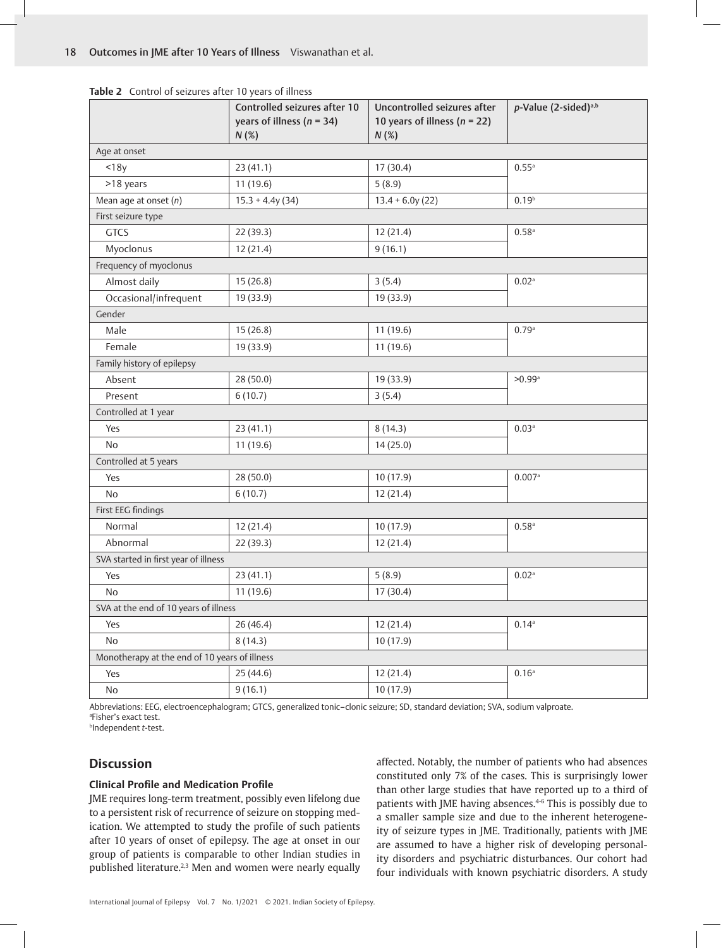|                                               | Controlled seizures after 10<br>years of illness ( $n = 34$ )<br>N(%) | Uncontrolled seizures after<br>10 years of illness ( $n = 22$ )<br>N(%) | p-Value (2-sided) <sup>a,b</sup> |  |  |
|-----------------------------------------------|-----------------------------------------------------------------------|-------------------------------------------------------------------------|----------------------------------|--|--|
| Age at onset                                  |                                                                       |                                                                         |                                  |  |  |
| $<$ 18y                                       | 23(41.1)                                                              | 17 (30.4)                                                               | 0.55a                            |  |  |
| >18 years                                     | 11(19.6)                                                              | 5(8.9)                                                                  |                                  |  |  |
| Mean age at onset (n)                         | $15.3 + 4.4y(34)$                                                     | $13.4 + 6.0y(22)$                                                       | 0.19 <sup>b</sup>                |  |  |
| First seizure type                            |                                                                       |                                                                         |                                  |  |  |
| <b>GTCS</b>                                   | 22 (39.3)                                                             | 12 (21.4)                                                               | $0.58$ <sup>a</sup>              |  |  |
| Myoclonus                                     | 12 (21.4)                                                             | 9(16.1)                                                                 |                                  |  |  |
| Frequency of myoclonus                        |                                                                       |                                                                         |                                  |  |  |
| Almost daily                                  | 15(26.8)                                                              | 3(5.4)                                                                  | 0.02 <sup>a</sup>                |  |  |
| Occasional/infrequent                         | 19 (33.9)                                                             | 19 (33.9)                                                               |                                  |  |  |
| Gender                                        |                                                                       |                                                                         |                                  |  |  |
| Male                                          | 15(26.8)                                                              | 11 (19.6)                                                               | 0.79a                            |  |  |
| Female                                        | 19 (33.9)                                                             | 11 (19.6)                                                               |                                  |  |  |
| Family history of epilepsy                    |                                                                       |                                                                         |                                  |  |  |
| Absent                                        | 28 (50.0)                                                             | 19 (33.9)                                                               | $>0.99$ <sup>a</sup>             |  |  |
| Present                                       | 6(10.7)                                                               | 3(5.4)                                                                  |                                  |  |  |
| Controlled at 1 year                          |                                                                       |                                                                         |                                  |  |  |
| Yes                                           | 23(41.1)                                                              | 8(14.3)                                                                 | 0.03 <sup>a</sup>                |  |  |
| No                                            | 11(19.6)                                                              | 14(25.0)                                                                |                                  |  |  |
| Controlled at 5 years                         |                                                                       |                                                                         |                                  |  |  |
| Yes                                           | 28(50.0)                                                              | 10(17.9)                                                                | 0.007a                           |  |  |
| No                                            | 6(10.7)                                                               | 12(21.4)                                                                |                                  |  |  |
| First EEG findings                            |                                                                       |                                                                         |                                  |  |  |
| Normal                                        | 12 (21.4)                                                             | 10(17.9)                                                                | $0.58$ <sup>a</sup>              |  |  |
| Abnormal                                      | 22 (39.3)                                                             | 12 (21.4)                                                               |                                  |  |  |
| SVA started in first year of illness          |                                                                       |                                                                         |                                  |  |  |
| Yes                                           | 23(41.1)                                                              | 5(8.9)                                                                  | 0.02 <sup>a</sup>                |  |  |
| <b>No</b>                                     | 11 (19.6)                                                             | 17 (30.4)                                                               |                                  |  |  |
| SVA at the end of 10 years of illness         |                                                                       |                                                                         |                                  |  |  |
| Yes                                           | 26(46.4)                                                              | 12 (21.4)                                                               | $0.14^{a}$                       |  |  |
| <b>No</b>                                     | 8(14.3)                                                               | 10(17.9)                                                                |                                  |  |  |
| Monotherapy at the end of 10 years of illness |                                                                       |                                                                         |                                  |  |  |
| Yes                                           | 25(44.6)                                                              | 12 (21.4)                                                               | 0.16 <sup>a</sup>                |  |  |
| No                                            | 9(16.1)                                                               | 10(17.9)                                                                |                                  |  |  |

**Table 2** Control of seizures after 10 years of illness

Abbreviations: EEG, electroencephalogram; GTCS, generalized tonic–clonic seizure; SD, standard deviation; SVA, sodium valproate. a Fisher's exact test.

b Independent *t*-test.

#### **Discussion**

#### **Clinical Profile and Medication Profile**

JME requires long-term treatment, possibly even lifelong due to a persistent risk of recurrence of seizure on stopping medication. We attempted to study the profile of such patients after 10 years of onset of epilepsy. The age at onset in our group of patients is comparable to other Indian studies in published literature.<sup>2,3</sup> Men and women were nearly equally affected. Notably, the number of patients who had absences constituted only 7% of the cases. This is surprisingly lower than other large studies that have reported up to a third of patients with JME having absences.4-6 This is possibly due to a smaller sample size and due to the inherent heterogeneity of seizure types in JME. Traditionally, patients with JME are assumed to have a higher risk of developing personality disorders and psychiatric disturbances. Our cohort had four individuals with known psychiatric disorders. A study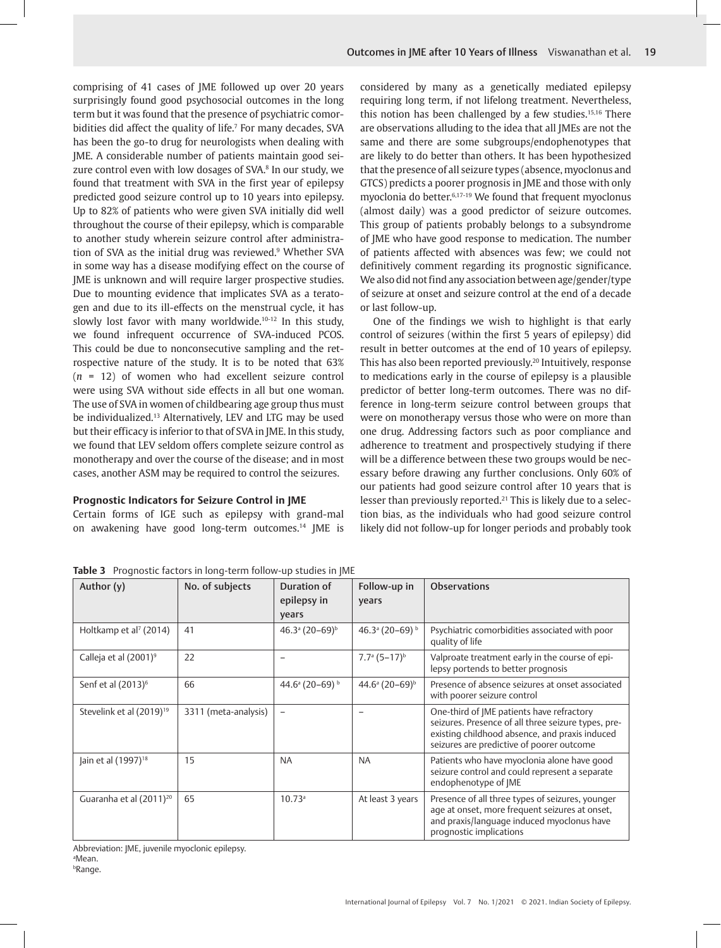comprising of 41 cases of JME followed up over 20 years surprisingly found good psychosocial outcomes in the long term but it was found that the presence of psychiatric comorbidities did affect the quality of life.<sup>7</sup> For many decades, SVA has been the go-to drug for neurologists when dealing with JME. A considerable number of patients maintain good seizure control even with low dosages of SVA.<sup>8</sup> In our study, we found that treatment with SVA in the first year of epilepsy predicted good seizure control up to 10 years into epilepsy. Up to 82% of patients who were given SVA initially did well throughout the course of their epilepsy, which is comparable to another study wherein seizure control after administration of SVA as the initial drug was reviewed.<sup>9</sup> Whether SVA in some way has a disease modifying effect on the course of JME is unknown and will require larger prospective studies. Due to mounting evidence that implicates SVA as a teratogen and due to its ill-effects on the menstrual cycle, it has slowly lost favor with many worldwide.10-12 In this study, we found infrequent occurrence of SVA-induced PCOS. This could be due to nonconsecutive sampling and the retrospective nature of the study. It is to be noted that 63% (*n* = 12) of women who had excellent seizure control were using SVA without side effects in all but one woman. The use of SVA in women of childbearing age group thus must be individualized.13 Alternatively, LEV and LTG may be used but their efficacy is inferior to that of SVA in JME. In this study, we found that LEV seldom offers complete seizure control as monotherapy and over the course of the disease; and in most cases, another ASM may be required to control the seizures.

#### **Prognostic Indicators for Seizure Control in JME**

Certain forms of IGE such as epilepsy with grand-mal on awakening have good long-term outcomes.14 JME is considered by many as a genetically mediated epilepsy requiring long term, if not lifelong treatment. Nevertheless, this notion has been challenged by a few studies.<sup>15,16</sup> There are observations alluding to the idea that all JMEs are not the same and there are some subgroups/endophenotypes that are likely to do better than others. It has been hypothesized that the presence of all seizure types (absence, myoclonus and GTCS) predicts a poorer prognosis in JME and those with only myoclonia do better.6,17-19 We found that frequent myoclonus (almost daily) was a good predictor of seizure outcomes. This group of patients probably belongs to a subsyndrome of JME who have good response to medication. The number of patients affected with absences was few; we could not definitively comment regarding its prognostic significance. We also did not find any association between age/gender/type of seizure at onset and seizure control at the end of a decade or last follow-up.

One of the findings we wish to highlight is that early control of seizures (within the first 5 years of epilepsy) did result in better outcomes at the end of 10 years of epilepsy. This has also been reported previously.<sup>20</sup> Intuitively, response to medications early in the course of epilepsy is a plausible predictor of better long-term outcomes. There was no difference in long-term seizure control between groups that were on monotherapy versus those who were on more than one drug. Addressing factors such as poor compliance and adherence to treatment and prospectively studying if there will be a difference between these two groups would be necessary before drawing any further conclusions. Only 60% of our patients had good seizure control after 10 years that is lesser than previously reported.<sup>21</sup> This is likely due to a selection bias, as the individuals who had good seizure control likely did not follow-up for longer periods and probably took

| Author (y)                           | No. of subjects      | Duration of<br>epilepsy in<br>years      | Follow-up in<br>years                  | <b>Observations</b>                                                                                                                                                                             |
|--------------------------------------|----------------------|------------------------------------------|----------------------------------------|-------------------------------------------------------------------------------------------------------------------------------------------------------------------------------------------------|
| Holtkamp et al <sup>7</sup> (2014)   | 41                   | $46.3^{\circ} (20 - 69)^{\circ}$         | 46.3 <sup>a</sup> (20-69) <sup>b</sup> | Psychiatric comorbidities associated with poor<br>quality of life                                                                                                                               |
| Calleja et al (2001) <sup>9</sup>    | 22                   |                                          | $7.7^{\circ}$ (5-17) <sup>b</sup>      | Valproate treatment early in the course of epi-<br>lepsy portends to better prognosis                                                                                                           |
| Senf et al (2013) <sup>6</sup>       | 66                   | 44.6 $\mathrm{^a}$ (20–69) $\mathrm{^b}$ | $44.6^{\circ} (20 - 69)^{\circ}$       | Presence of absence seizures at onset associated<br>with poorer seizure control                                                                                                                 |
| Stevelink et al (2019) <sup>19</sup> | 3311 (meta-analysis) | $\qquad \qquad$                          |                                        | One-third of JME patients have refractory<br>seizures. Presence of all three seizure types, pre-<br>existing childhood absence, and praxis induced<br>seizures are predictive of poorer outcome |
| Jain et al (1997) <sup>18</sup>      | 15                   | <b>NA</b>                                | <b>NA</b>                              | Patients who have myoclonia alone have good<br>seizure control and could represent a separate<br>endophenotype of JME                                                                           |
| Guaranha et al (2011) <sup>20</sup>  | 65                   | 10.73 <sup>a</sup>                       | At least 3 years                       | Presence of all three types of seizures, younger<br>age at onset, more frequent seizures at onset,<br>and praxis/language induced myoclonus have<br>prognostic implications                     |

**Table 3** Prognostic factors in long-term follow-up studies in JME

Abbreviation: JME, juvenile myoclonic epilepsy. a Mean.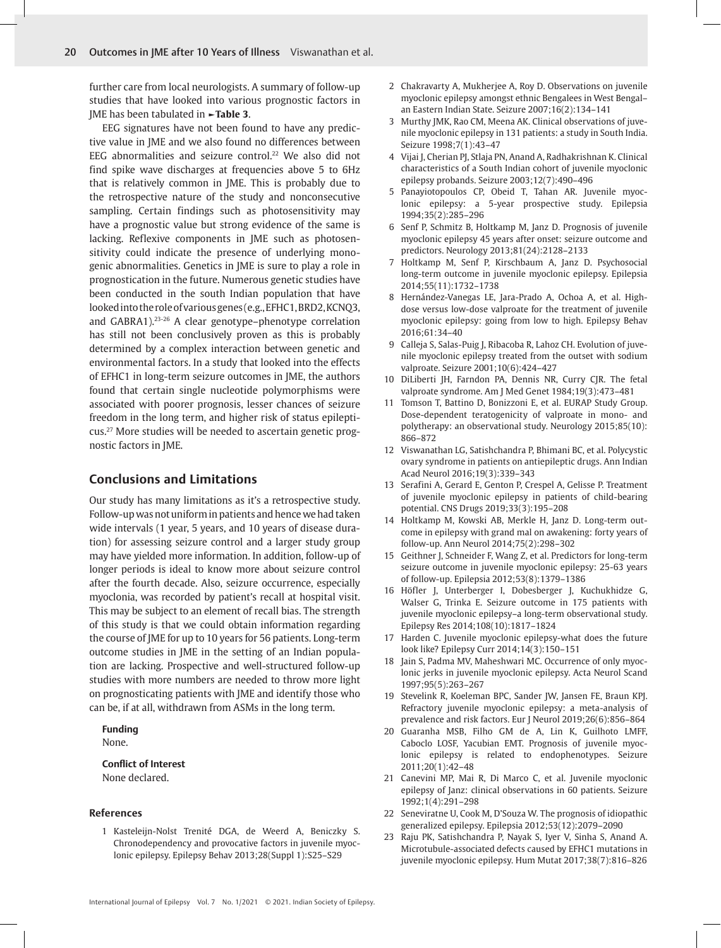further care from local neurologists. A summary of follow-up studies that have looked into various prognostic factors in JME has been tabulated in **►Table 3**.

EEG signatures have not been found to have any predictive value in JME and we also found no differences between EEG abnormalities and seizure control.<sup>22</sup> We also did not find spike wave discharges at frequencies above 5 to 6Hz that is relatively common in JME. This is probably due to the retrospective nature of the study and nonconsecutive sampling. Certain findings such as photosensitivity may have a prognostic value but strong evidence of the same is lacking. Reflexive components in JME such as photosensitivity could indicate the presence of underlying monogenic abnormalities. Genetics in JME is sure to play a role in prognostication in the future. Numerous genetic studies have been conducted in the south Indian population that have looked into the role of various genes (e.g., EFHC1, BRD2, KCNQ3, and GABRA1).23-26 A clear genotype–phenotype correlation has still not been conclusively proven as this is probably determined by a complex interaction between genetic and environmental factors. In a study that looked into the effects of EFHC1 in long-term seizure outcomes in JME, the authors found that certain single nucleotide polymorphisms were associated with poorer prognosis, lesser chances of seizure freedom in the long term, and higher risk of status epilepticus.27 More studies will be needed to ascertain genetic prognostic factors in JME.

#### **Conclusions and Limitations**

Our study has many limitations as it's a retrospective study. Follow-up was not uniform in patients and hence we had taken wide intervals (1 year, 5 years, and 10 years of disease duration) for assessing seizure control and a larger study group may have yielded more information. In addition, follow-up of longer periods is ideal to know more about seizure control after the fourth decade. Also, seizure occurrence, especially myoclonia, was recorded by patient's recall at hospital visit. This may be subject to an element of recall bias. The strength of this study is that we could obtain information regarding the course of JME for up to 10 years for 56 patients. Long-term outcome studies in JME in the setting of an Indian population are lacking. Prospective and well-structured follow-up studies with more numbers are needed to throw more light on prognosticating patients with JME and identify those who can be, if at all, withdrawn from ASMs in the long term.

### **Funding**

None.

#### **Conflict of Interest** None declared.

#### **References**

1 Kasteleijn-Nolst Trenité DGA, de Weerd A, Beniczky S. Chronodependency and provocative factors in juvenile myoclonic epilepsy. Epilepsy Behav 2013;28(Suppl 1):S25–S29

- 2 Chakravarty A, Mukherjee A, Roy D. Observations on juvenile myoclonic epilepsy amongst ethnic Bengalees in West Bengal– an Eastern Indian State. Seizure 2007;16(2):134–141
- 3 Murthy JMK, Rao CM, Meena AK. Clinical observations of juvenile myoclonic epilepsy in 131 patients: a study in South India. Seizure 1998;7(1):43–47
- 4 Vijai J, Cherian PJ, Stlaja PN, Anand A, Radhakrishnan K. Clinical characteristics of a South Indian cohort of juvenile myoclonic epilepsy probands. Seizure 2003;12(7):490–496
- 5 Panayiotopoulos CP, Obeid T, Tahan AR. Juvenile myoclonic epilepsy: a 5-year prospective study. Epilepsia 1994;35(2):285–296
- 6 Senf P, Schmitz B, Holtkamp M, Janz D. Prognosis of juvenile myoclonic epilepsy 45 years after onset: seizure outcome and predictors. Neurology 2013;81(24):2128–2133
- 7 Holtkamp M, Senf P, Kirschbaum A, Janz D. Psychosocial long-term outcome in juvenile myoclonic epilepsy. Epilepsia 2014;55(11):1732–1738
- 8 Hernández-Vanegas LE, Jara-Prado A, Ochoa A, et al. Highdose versus low-dose valproate for the treatment of juvenile myoclonic epilepsy: going from low to high. Epilepsy Behav 2016;61:34–40
- 9 Calleja S, Salas-Puig J, Ribacoba R, Lahoz CH. Evolution of juvenile myoclonic epilepsy treated from the outset with sodium valproate. Seizure 2001;10(6):424–427
- 10 DiLiberti JH, Farndon PA, Dennis NR, Curry CJR. The fetal valproate syndrome. Am J Med Genet 1984;19(3):473–481
- 11 Tomson T, Battino D, Bonizzoni E, et al. EURAP Study Group. Dose-dependent teratogenicity of valproate in mono- and polytherapy: an observational study. Neurology 2015;85(10): 866–872
- 12 Viswanathan LG, Satishchandra P, Bhimani BC, et al. Polycystic ovary syndrome in patients on antiepileptic drugs. Ann Indian Acad Neurol 2016;19(3):339–343
- 13 Serafini A, Gerard E, Genton P, Crespel A, Gelisse P. Treatment of juvenile myoclonic epilepsy in patients of child-bearing potential. CNS Drugs 2019;33(3):195–208
- 14 Holtkamp M, Kowski AB, Merkle H, Janz D. Long-term outcome in epilepsy with grand mal on awakening: forty years of follow-up. Ann Neurol 2014;75(2):298–302
- 15 Geithner J, Schneider F, Wang Z, et al. Predictors for long-term seizure outcome in juvenile myoclonic epilepsy: 25-63 years of follow-up. Epilepsia 2012;53(8):1379–1386
- 16 Höfler J, Unterberger I, Dobesberger J, Kuchukhidze G, Walser G, Trinka E. Seizure outcome in 175 patients with juvenile myoclonic epilepsy–a long-term observational study. Epilepsy Res 2014;108(10):1817–1824
- 17 Harden C. Juvenile myoclonic epilepsy-what does the future look like? Epilepsy Curr 2014;14(3):150–151
- 18 Jain S, Padma MV, Maheshwari MC. Occurrence of only myoclonic jerks in juvenile myoclonic epilepsy. Acta Neurol Scand 1997;95(5):263–267
- 19 Stevelink R, Koeleman BPC, Sander JW, Jansen FE, Braun KPJ. Refractory juvenile myoclonic epilepsy: a meta-analysis of prevalence and risk factors. Eur J Neurol 2019;26(6):856–864
- 20 Guaranha MSB, Filho GM de A, Lin K, Guilhoto LMFF, Caboclo LOSF, Yacubian EMT. Prognosis of juvenile myoclonic epilepsy is related to endophenotypes. Seizure 2011;20(1):42–48
- 21 Canevini MP, Mai R, Di Marco C, et al. Juvenile myoclonic epilepsy of Janz: clinical observations in 60 patients. Seizure 1992;1(4):291–298
- 22 Seneviratne U, Cook M, D'Souza W. The prognosis of idiopathic generalized epilepsy. Epilepsia 2012;53(12):2079–2090
- 23 Raju PK, Satishchandra P, Nayak S, Iyer V, Sinha S, Anand A. Microtubule-associated defects caused by EFHC1 mutations in juvenile myoclonic epilepsy. Hum Mutat 2017;38(7):816–826